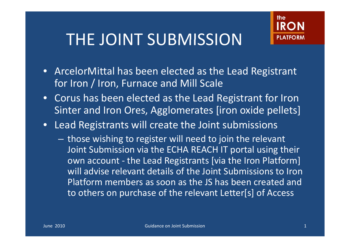### THE JOINT SUBMISSION



- ArcelorMittal has been elected as the Lead Registrant for Iron / Iron, Furnace and Mill Scale
- Corus has been elected as the Lead Registrant for Iron Sinter and Iron Ores, Agglomerates [iron oxide pellets]
- Lead Registrants will create the Joint submissions
	- <del>Links and Control</del>  $-$  those wishing to register will need to join the relevant Joint Submission via the ECHA REACH IT portal using their own account - the Lead Registrants [via the Iron Platform] will advise relevant details of the Joint Submissions to Iron Platform members as soon as the JS has been created and to others on purchase of the relevant Letter[s] of Access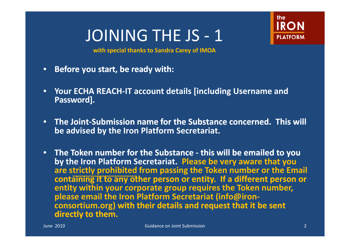

**with special thanks to Sandra Carey of IMOA**

- •**Before you sta rt, beready with:**
- •**Your ECHA REACH-IT account details [including Username andPassword].**
- **TheJoint-Submission ubmissionnamefor the Substance concerned. This will be advised by the Iron Platform Secretariat.**
- **TheToken number for theSubstance - this will be emailedtoyou by the Iron Platform Secretariat. Please be very aware that you are strictly prohibited from passing the Token number or the Email** containing it to any other person or entity. If a different person or **entity within your corporate group requires the Token number, please email the Iron Platform Secretariat (info@ironconsortium.org) with their details andrequest that it be sent directlyto them.**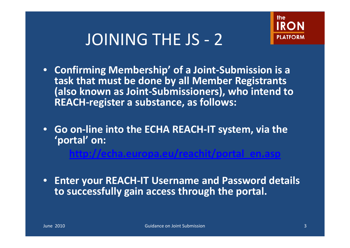

- Confirming Membership' of a Joint-Submission is a **task that must be done by all Member Registrants (also known as Joint-Submissioners), who intend to REACH-register a substance, as follows:**
- **Go on-line into the ECHA REACH-IT system, via the 'portal' on: http://echa europa eu/reachit/portal en asp echa.europa.eu/reachit/portal en.asp**
- **Enter your REACH-IT Username and Password details to successfully gain access through the portal.**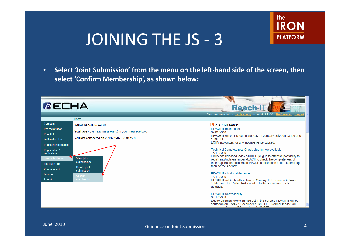

•• Select 'Joint Submission' from the menu on the left-hand side of the screen, then **select 'Confirm Membership', as shown below:**

#### **AECHA**



#### **N** REACH-IT News:

REACH-IT maintenance 07/01/2010 REACH-IT will be closed on Monday 11 January between 08h00 and 10h00 EET. ECHA apologizes for any inconvenience caused.

#### Technical Completeness Check plug-in now available 18/12/2009

**Reach-I** You are connected as sandracarey on behalf of IMOA - Preference

ECHA has released today a IUCLID plug-in to offer the possibility to registrants/notifiers under REACH to check the completeness of their registration dossiers or PPORD notifications before submitting them to the Agency.

#### **REACH-IT short maintenance**

14/12/2009 REACH-IT will be briefly offline on Monday 14 December between 13h00 and 13h15 due tasks related to the submission system upgrade.

#### **REACH-IT unavailability**

02/12/2009 Due to electrical works carried out in the building REACH-IT will be shutdown on Friday 4 December 16h00 EET. Normal service will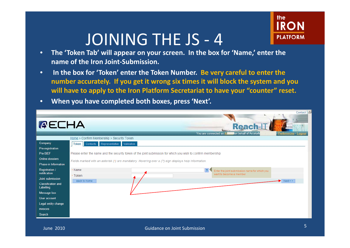

- • **The 'Token Tab' will appear on your screen. In the box for 'Name,' enter the name of the Iron Joint-Submission.**
- • **In the box for 'Token' enter the Token Number. Be very careful to enter the number accurately. If you get it wrong six times it will block the system and you will have to apply to the Iron Platform Secretariat to have your "counter" reset.**
- •**When you have completed both boxes, press 'Next'.**

|                                        | $Content \equiv$                                                                                              |
|----------------------------------------|---------------------------------------------------------------------------------------------------------------|
| <b>AECHA</b>                           | Reach-LT                                                                                                      |
|                                        | on behalf of ArcelorN<br>You are connected as A<br>- Preferences - Logout                                     |
|                                        | Home > Confirm Membership > Security Token                                                                    |
| Company                                | Contacts Representative Validation<br>Token                                                                   |
| Pre-registration                       |                                                                                                               |
| Pre-SIEF                               | Please enter the name and the security token of the joint submission for which you wish to confirm membership |
| Online dossiers                        |                                                                                                               |
| Phase-in Information                   | Fields marked with an asterisk (*) are mandatory. Hovering over a (?) sign displays help information.         |
| <b>Registration /</b>                  | ? <br>* Name<br>Enter the joint submission name for which you                                                 |
| notification                           | want to become a member<br>* Token                                                                            |
| Joint submission                       | Next<br>Back to home                                                                                          |
| <b>Classification and</b><br>Labelling |                                                                                                               |
| Message box                            |                                                                                                               |
| User account                           |                                                                                                               |
| Legal entity change                    |                                                                                                               |
| <b>Invoices</b>                        |                                                                                                               |
| Search                                 |                                                                                                               |
|                                        |                                                                                                               |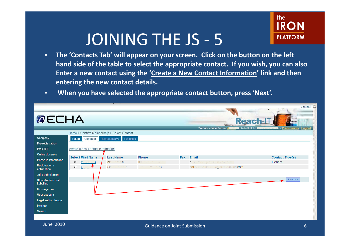

- • **The 'Contacts Tab' will appear on your screen. Click on the button on the left hand side of the table to select the app p y y ro priate contact. If you wish, you can also Enter a new contact using the 'Create a New Contact Information' link and then entering the new contact details.**
- •**When y pp p , p ou have selected the appro priate contact button, press 'Next'.**

|                                        |                                            |                  |                       |     |                                                           | Contact                |
|----------------------------------------|--------------------------------------------|------------------|-----------------------|-----|-----------------------------------------------------------|------------------------|
| <b>AECHA</b>                           |                                            |                  |                       |     | Reach-IT<br>In behalf of Arc<br>You are connected as A    | - Preferences - Logout |
|                                        | Home > Confirm Membership > Select Contact |                  |                       |     |                                                           |                        |
| Company                                | Token Contacts Representative Validation   |                  |                       |     |                                                           |                        |
| Pre-registration                       |                                            |                  |                       |     |                                                           |                        |
| Pre-SIEF                               | create a new contact information           |                  |                       |     |                                                           |                        |
| <b>Online dossiers</b>                 | <b>Select First Name</b>                   | <b>Last Name</b> | Phone                 | Fax | Email                                                     | <b>Contact Type(s)</b> |
| Phase-in Information                   | $\mathcal G$<br>edition doctor)            | al<br>ar:        | Openia and size and s |     | ${\rm e}$ channeach $\tilde{\mathbb{Z}}$ annebouilibé.com | General                |
| Registration /<br>notification         | $\circ$<br>$\underline{\mathsf{C}}$        | Sc.<br>siminder. |                       |     | carlo schommechan@arcsloomiffal.com                       |                        |
| Joint submission                       |                                            |                  |                       |     |                                                           |                        |
| <b>Classification and</b><br>Labelling |                                            |                  |                       |     |                                                           | Next                   |
| Message box                            |                                            |                  |                       |     |                                                           |                        |
| User account                           |                                            |                  |                       |     |                                                           |                        |
| Legal entity change                    |                                            |                  |                       |     |                                                           |                        |
| Invoices                               |                                            |                  |                       |     |                                                           |                        |
| Search                                 |                                            |                  |                       |     |                                                           |                        |
|                                        |                                            |                  |                       |     |                                                           |                        |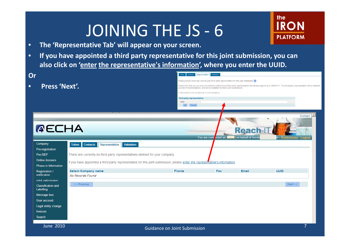

- •**The 'Representative Tab' will appear on your screen.**
- • **If you have appointed a third party representative for this joint submission, you can also click on 'enter the re presentative's information', y where you enter the UUID.**

| Or                                                                                                                                                                                                                                                   |                                                                                                                             | <b>Contacts Representative</b><br><b>Token</b>    | Validation                                                                                    |                              |                                                                                                                                                                           |
|------------------------------------------------------------------------------------------------------------------------------------------------------------------------------------------------------------------------------------------------------|-----------------------------------------------------------------------------------------------------------------------------|---------------------------------------------------|-----------------------------------------------------------------------------------------------|------------------------------|---------------------------------------------------------------------------------------------------------------------------------------------------------------------------|
|                                                                                                                                                                                                                                                      |                                                                                                                             |                                                   | Please provide below the UUID of your third party representative for this joint submission ?. |                              |                                                                                                                                                                           |
| Press 'Next'.                                                                                                                                                                                                                                        |                                                                                                                             |                                                   | your list of representatives, and will be available for future joint submissions.             |                              | Please note that you can only successfully confirm if your third party representative has already signed up to REACH-IT. This third party representative will be added to |
|                                                                                                                                                                                                                                                      |                                                                                                                             | Fields marked with an asterisk (*) are mandatory. |                                                                                               |                              |                                                                                                                                                                           |
|                                                                                                                                                                                                                                                      |                                                                                                                             | Third party representative                        |                                                                                               |                              |                                                                                                                                                                           |
|                                                                                                                                                                                                                                                      |                                                                                                                             | UUID:<br>Cancel                                   |                                                                                               |                              |                                                                                                                                                                           |
|                                                                                                                                                                                                                                                      |                                                                                                                             |                                                   |                                                                                               |                              |                                                                                                                                                                           |
|                                                                                                                                                                                                                                                      |                                                                                                                             |                                                   |                                                                                               |                              | Contact                                                                                                                                                                   |
|                                                                                                                                                                                                                                                      |                                                                                                                             |                                                   |                                                                                               |                              |                                                                                                                                                                           |
| <b>AECHA</b>                                                                                                                                                                                                                                         |                                                                                                                             |                                                   |                                                                                               |                              |                                                                                                                                                                           |
|                                                                                                                                                                                                                                                      |                                                                                                                             |                                                   |                                                                                               | <b>Reach-L</b>               |                                                                                                                                                                           |
|                                                                                                                                                                                                                                                      |                                                                                                                             |                                                   | You are connected as                                                                          | <b>B</b> on behalf of Arcelo | - Preferences - Logou                                                                                                                                                     |
| Company                                                                                                                                                                                                                                              | Token Contacts<br>Representative<br>Validation                                                                              |                                                   |                                                                                               |                              |                                                                                                                                                                           |
| Pre-registration                                                                                                                                                                                                                                     |                                                                                                                             |                                                   |                                                                                               |                              |                                                                                                                                                                           |
|                                                                                                                                                                                                                                                      |                                                                                                                             |                                                   |                                                                                               |                              |                                                                                                                                                                           |
|                                                                                                                                                                                                                                                      | There are currently no third party representatives defined for your company.                                                |                                                   |                                                                                               |                              |                                                                                                                                                                           |
|                                                                                                                                                                                                                                                      |                                                                                                                             |                                                   |                                                                                               |                              |                                                                                                                                                                           |
|                                                                                                                                                                                                                                                      | If you have appointed a third party representative for this joint submission, please enter the representative's information |                                                   |                                                                                               |                              |                                                                                                                                                                           |
|                                                                                                                                                                                                                                                      | <b>Select Company name</b>                                                                                                  | Phone                                             | Fax                                                                                           | <b>Email</b>                 | <b>UUID</b>                                                                                                                                                               |
|                                                                                                                                                                                                                                                      | No Records Found                                                                                                            |                                                   |                                                                                               |                              |                                                                                                                                                                           |
|                                                                                                                                                                                                                                                      |                                                                                                                             |                                                   |                                                                                               |                              |                                                                                                                                                                           |
|                                                                                                                                                                                                                                                      | $\leq$ Previous                                                                                                             |                                                   |                                                                                               |                              | Next                                                                                                                                                                      |
|                                                                                                                                                                                                                                                      |                                                                                                                             |                                                   |                                                                                               |                              |                                                                                                                                                                           |
|                                                                                                                                                                                                                                                      |                                                                                                                             |                                                   |                                                                                               |                              |                                                                                                                                                                           |
|                                                                                                                                                                                                                                                      |                                                                                                                             |                                                   |                                                                                               |                              |                                                                                                                                                                           |
|                                                                                                                                                                                                                                                      |                                                                                                                             |                                                   |                                                                                               |                              |                                                                                                                                                                           |
| Pre-SIEF<br><b>Online dossiers</b><br>Phase-in Information<br><b>Registration /</b><br>notification<br>Joint submission<br><b>Classification and</b><br>Labelling<br>Message box<br>User account<br>Legal entity change<br><b>Invoices</b><br>Search |                                                                                                                             |                                                   |                                                                                               |                              |                                                                                                                                                                           |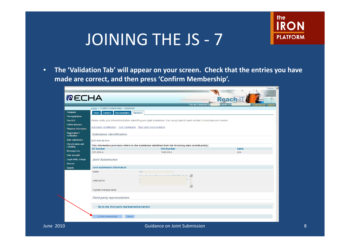

Contact I

•The 'Validation Tab' will appear on your screen. Check that the entries you have **made are correct, and then press 'Confirm Membership'.**

|                                        | Home > Confirm Membership > Validation   | You are connected as                                                                                                               |             |
|----------------------------------------|------------------------------------------|------------------------------------------------------------------------------------------------------------------------------------|-------------|
| Company                                | Token Contacts Representative Validation |                                                                                                                                    |             |
| Pre-registration                       |                                          |                                                                                                                                    |             |
| Pre-SIEF                               |                                          | Please verify your information before submitting your joint submission. You can go back to each section if corrections are needed. |             |
| <b>Online dossiers</b>                 |                                          |                                                                                                                                    |             |
| Phase-in Information                   |                                          | Substance identification Joint Submission Third party representative                                                               |             |
| Registration /<br>notification         | <b>Substance identification</b>          |                                                                                                                                    |             |
| Joint submission                       | [231-096-4] iron                         |                                                                                                                                    |             |
| <b>Classification and</b><br>Labelling | <b>EC Number</b>                         | This information provision refers to the substance identified from the following main constituent(s):<br><b>CAS Number</b>         | <b>Name</b> |
| Message box                            | 231-096-4                                | 7439-89-6                                                                                                                          | iron        |
| User account                           |                                          |                                                                                                                                    |             |
| Legal entity change                    | <b>Joint Submission</b>                  |                                                                                                                                    |             |
| <b>Invoices</b>                        |                                          |                                                                                                                                    |             |
| Search                                 | Joint submission information             |                                                                                                                                    |             |
|                                        | Name                                     | Iror                                                                                                                               |             |
|                                        |                                          | - IFIRAAA RUMAAA OOF OOO 41<br>$\blacktriangle$                                                                                    |             |
|                                        | Description                              |                                                                                                                                    |             |
|                                        |                                          | $\overline{\mathbf v}$                                                                                                             |             |
|                                        | Highest tonnage band                     |                                                                                                                                    |             |
|                                        |                                          |                                                                                                                                    |             |
|                                        | Third party representative               |                                                                                                                                    |             |
|                                        |                                          |                                                                                                                                    |             |
|                                        |                                          | Go to the Third party representative section                                                                                       |             |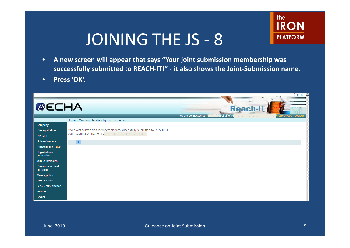

- • **A new screen will appear that says "Your joint submission membership was**  successfully submitted to REACH-IT!" - it also shows the Joint-Submission name.
- •**Press 'OK'.**

|                                        |                                                                         | Contact                                                                                                            |
|----------------------------------------|-------------------------------------------------------------------------|--------------------------------------------------------------------------------------------------------------------|
| <b>AECHA</b>                           |                                                                         | Reach-LT<br><b>Contractor</b><br>behalf of Al<br>You are connected as A<br><u> <sup>b</sup>references - Logout</u> |
|                                        | $Home >$ Confirm Membership $>$ Conclusion                              |                                                                                                                    |
| Company                                |                                                                         |                                                                                                                    |
| Pre-registration                       | Your joint submission membership was succesfully submitted to REACH-IT! |                                                                                                                    |
| Pre-SIEF                               | Joint submission name: Iro<br>nen munder 234 Offici                     |                                                                                                                    |
| Online dossiers                        | OK                                                                      |                                                                                                                    |
| Phase-in Information                   |                                                                         |                                                                                                                    |
| Registration /<br>notification         |                                                                         |                                                                                                                    |
| Joint submission                       |                                                                         |                                                                                                                    |
| <b>Classification and</b><br>Labelling |                                                                         |                                                                                                                    |
| Message box                            |                                                                         |                                                                                                                    |
| User account                           |                                                                         |                                                                                                                    |
| Legal entity change                    |                                                                         |                                                                                                                    |
| Invoices                               |                                                                         |                                                                                                                    |
| Search                                 |                                                                         |                                                                                                                    |
|                                        |                                                                         |                                                                                                                    |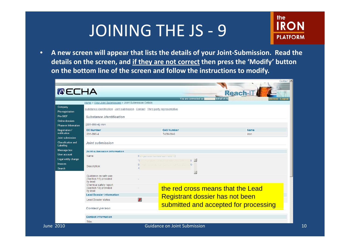

• **A new screen will appear that lists the details of your Joint-Submission. Read the details on the screen, and if they are not correct then press the 'Modify' button on the bottom line of the screen and follow the instructions to modify.**

| <b>AECHA</b>                            |                                                                              |           | You are connected as                         | Reach-II<br>behalf of AM<br>ences - Logout |
|-----------------------------------------|------------------------------------------------------------------------------|-----------|----------------------------------------------|--------------------------------------------|
|                                         | Home > View Joint Submissions > Joint Submission Details                     |           |                                              |                                            |
| Company<br>Pre-registration             | Substance identification Joint submission Contact Third party representative |           |                                              |                                            |
| Pre-SIEF                                | Substance identification                                                     |           |                                              |                                            |
| Online dossiers<br>Phase-in Information | $[231 - 096 - 4]$ iron                                                       |           |                                              |                                            |
| <b>Registration /</b>                   | <b>EC Number</b>                                                             |           | <b>CAS Number</b>                            | <b>Name</b>                                |
| notification                            | 231-096-4                                                                    |           | 7439-89-6                                    | iron                                       |
| Joint submission                        |                                                                              |           |                                              |                                            |
| <b>Classification and</b><br>Labelling  | Joint submission                                                             |           |                                              |                                            |
| Message box                             | Joint submission information                                                 |           |                                              |                                            |
| User account                            | Name:                                                                        |           | Iron (Emecs number 231-080-4)                |                                            |
| Legal entity change                     |                                                                              |           | $\blacktriangle$<br>ace forests recorder 29  |                                            |
| <b>Invoices</b>                         | Description:                                                                 | h         | $\overline{5}$ -<br>an gerin di bagian sa pr |                                            |
| Search                                  |                                                                              | $\Lambda$ |                                              |                                            |
|                                         |                                                                              |           | $\overline{\phantom{a}}$                     |                                            |
|                                         | Guidance on safe use<br>(Section 11) provided<br>by lead                     |           |                                              |                                            |
|                                         | Chemical safety report<br>(Section 13) provided<br>by lead                   |           | the red cross means that the Lead            |                                            |
|                                         | <b>Lead Dossier information</b>                                              |           |                                              |                                            |
|                                         | <b>Lead Dossier status</b>                                                   | x         | <b>Registrant dossier has not been</b>       |                                            |
|                                         | <b>Contact person</b>                                                        |           | submitted and accepted for processing        |                                            |
|                                         | <b>Contact information</b>                                                   |           |                                              |                                            |
|                                         |                                                                              |           |                                              |                                            |
|                                         | Title:                                                                       |           | <b>Guidance on Joint Submission</b>          |                                            |

**Jun**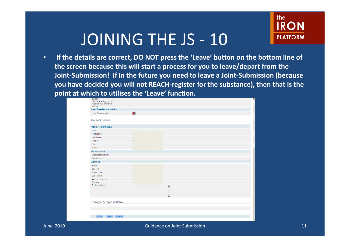

• **If the details are correct, DO NOT press the 'Leave' button on the bottom line of**  the screen because this will start a process for you to leave/depart from the **Joint-Submission! If in the future you need to leave a Joint-Submission (because you have decided you will not REACH-register for the substance), then that is the point at which to utilises the 'Leave' function.**

| <b>Lead Dossier information</b> |                                     |                                              |  |  |
|---------------------------------|-------------------------------------|----------------------------------------------|--|--|
| <b>Lead Dossier status</b>      | $\boldsymbol{x}$                    |                                              |  |  |
| <b>Contact person</b>           |                                     |                                              |  |  |
| <b>Contact information</b>      |                                     |                                              |  |  |
| Title:                          |                                     |                                              |  |  |
| First Name:                     | <b>Collaboration</b>                |                                              |  |  |
| Last Name:                      | parameters.                         |                                              |  |  |
| Phone:                          | Cathair of the attent               |                                              |  |  |
| Fax:                            |                                     |                                              |  |  |
| E-mail:                         | er har man i d'harr ein hall ar har |                                              |  |  |
| Organisation                    |                                     |                                              |  |  |
| Organisation Name:              |                                     |                                              |  |  |
| Department:                     |                                     |                                              |  |  |
| <b>Address</b>                  |                                     |                                              |  |  |
| Street:                         | di salah asl dari sebagai dan       |                                              |  |  |
| Street 2:                       |                                     |                                              |  |  |
| Postal code:                    | po se por                           |                                              |  |  |
| City / Town:                    | Lastartes                           |                                              |  |  |
| Region / County:                |                                     |                                              |  |  |
| Country:                        | Learn factors                       |                                              |  |  |
| Postal address:                 |                                     | $\blacktriangle$<br>$\overline{\phantom{a}}$ |  |  |
| Third party representative      |                                     |                                              |  |  |
|                                 |                                     |                                              |  |  |
|                                 |                                     |                                              |  |  |

June 2010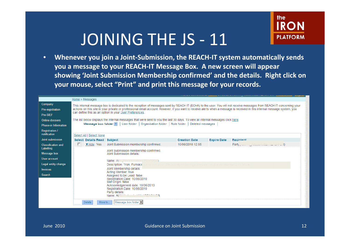

• **Whenever you join a Joint-Submission, the REACH-IT system automatically sends**  you a message to your REACH-IT Message Box. A new screen will appear **showing 'Joint Submission Membership confirmed' and the details. Right click on your mouse, select "Print" and print this message for your records.**

|                                         | Home > Messages                                                                                                                                                                                                                                                                                                                                                                                              |                                                                                                                                                                                                                                            |                      |                    |                                        |  |  |
|-----------------------------------------|--------------------------------------------------------------------------------------------------------------------------------------------------------------------------------------------------------------------------------------------------------------------------------------------------------------------------------------------------------------------------------------------------------------|--------------------------------------------------------------------------------------------------------------------------------------------------------------------------------------------------------------------------------------------|----------------------|--------------------|----------------------------------------|--|--|
| Company<br>Pre-registration<br>Pre-SIEF | This internal message box is dedicated to the reception of messages sent by REACH IT (ECHA) to the user. You will not receive messages from REACH IT concerning your<br>actions on this site in your private or professional email account. However, if you want to receive alerts when a message is received in this internal message system, you<br>can define this as an option in your User Preferences. |                                                                                                                                                                                                                                            |                      |                    |                                        |  |  |
| Online dossiers<br>Phase-in Information |                                                                                                                                                                                                                                                                                                                                                                                                              | The list below displays the internal messages that were sent to you the last 30 days. To view all internal messages click here.<br>Message box folder ?   User folder   Organisation folder   Role folder   Deleted messages               |                      |                    |                                        |  |  |
| <b>Registration /</b><br>notification   | Select All   Select None                                                                                                                                                                                                                                                                                                                                                                                     |                                                                                                                                                                                                                                            |                      |                    |                                        |  |  |
| Joint submission                        | Select Details Read Subject                                                                                                                                                                                                                                                                                                                                                                                  |                                                                                                                                                                                                                                            | <b>Creation Date</b> | <b>Expire Date</b> | <b>Recipient</b>                       |  |  |
| <b>Classification and</b><br>Labelling  | ▼ Hide Yes                                                                                                                                                                                                                                                                                                                                                                                                   | Joint Submission membership confirmed.<br>Joint Submission membership confirmed.                                                                                                                                                           | 10/06/2010 12:55     |                    | Party plate in Francisco Miller (2014) |  |  |
| Message box                             |                                                                                                                                                                                                                                                                                                                                                                                                              | Joint Submission details:                                                                                                                                                                                                                  |                      |                    |                                        |  |  |
| User account                            |                                                                                                                                                                                                                                                                                                                                                                                                              | Name: Iron of many animation of the same                                                                                                                                                                                                   |                      |                    |                                        |  |  |
| Legal entity change                     |                                                                                                                                                                                                                                                                                                                                                                                                              | Description: "Iron. Furnace" Experimental 200-030 all will be recipied as a configure a popular 201-09                                                                                                                                     |                      |                    |                                        |  |  |
| <b>Invoices</b>                         |                                                                                                                                                                                                                                                                                                                                                                                                              | Joint Membership details:                                                                                                                                                                                                                  |                      |                    |                                        |  |  |
| <b>Search</b>                           |                                                                                                                                                                                                                                                                                                                                                                                                              | Acting Member: true<br>Assigned to be Lead: false<br>Registration Date: 10/06/2010<br>Sief Origin: false<br>Acknowledgement date: 10/06/2010<br>Registration Date: 10/06/2010<br>Party details:<br>Name: AMM Manufacturer AMM Manufacturer |                      |                    |                                        |  |  |
|                                         | <b>Delete</b><br>Move to                                                                                                                                                                                                                                                                                                                                                                                     | Message box folder                                                                                                                                                                                                                         |                      |                    |                                        |  |  |